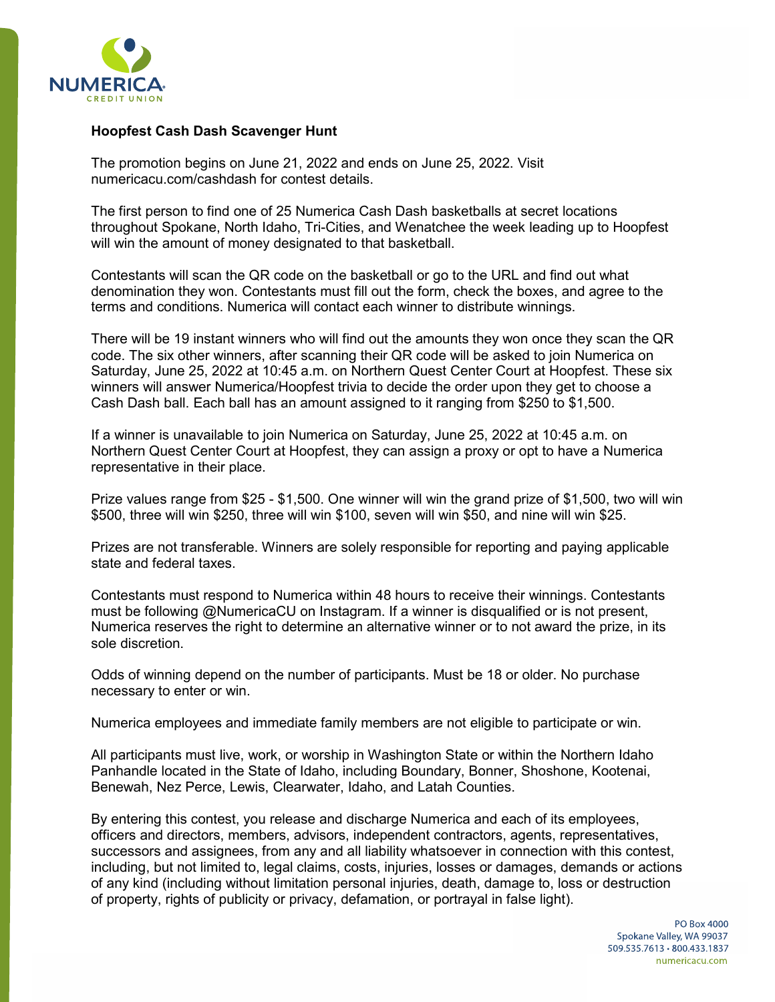

## **Hoopfest Cash Dash Scavenger Hunt**

The promotion begins on June 21, 2022 and ends on June 25, 2022. Visit numericacu.com/cashdash for contest details.

The first person to find one of 25 Numerica Cash Dash basketballs at secret locations throughout Spokane, North Idaho, Tri-Cities, and Wenatchee the week leading up to Hoopfest will win the amount of money designated to that basketball.

Contestants will scan the QR code on the basketball or go to the URL and find out what denomination they won. Contestants must fill out the form, check the boxes, and agree to the terms and conditions. Numerica will contact each winner to distribute winnings.

There will be 19 instant winners who will find out the amounts they won once they scan the QR code. The six other winners, after scanning their QR code will be asked to join Numerica on Saturday, June 25, 2022 at 10:45 a.m. on Northern Quest Center Court at Hoopfest. These six winners will answer Numerica/Hoopfest trivia to decide the order upon they get to choose a Cash Dash ball. Each ball has an amount assigned to it ranging from \$250 to \$1,500.

If a winner is unavailable to join Numerica on Saturday, June 25, 2022 at 10:45 a.m. on Northern Quest Center Court at Hoopfest, they can assign a proxy or opt to have a Numerica representative in their place.

Prize values range from \$25 - \$1,500. One winner will win the grand prize of \$1,500, two will win \$500, three will win \$250, three will win \$100, seven will win \$50, and nine will win \$25.

Prizes are not transferable. Winners are solely responsible for reporting and paying applicable state and federal taxes.

Contestants must respond to Numerica within 48 hours to receive their winnings. Contestants must be following @NumericaCU on Instagram. If a winner is disqualified or is not present, Numerica reserves the right to determine an alternative winner or to not award the prize, in its sole discretion.

Odds of winning depend on the number of participants. Must be 18 or older. No purchase necessary to enter or win.

Numerica employees and immediate family members are not eligible to participate or win.

All participants must live, work, or worship in Washington State or within the Northern Idaho Panhandle located in the State of Idaho, including Boundary, Bonner, Shoshone, Kootenai, Benewah, Nez Perce, Lewis, Clearwater, Idaho, and Latah Counties.

By entering this contest, you release and discharge Numerica and each of its employees, officers and directors, members, advisors, independent contractors, agents, representatives, successors and assignees, from any and all liability whatsoever in connection with this contest, including, but not limited to, legal claims, costs, injuries, losses or damages, demands or actions of any kind (including without limitation personal injuries, death, damage to, loss or destruction of property, rights of publicity or privacy, defamation, or portrayal in false light).